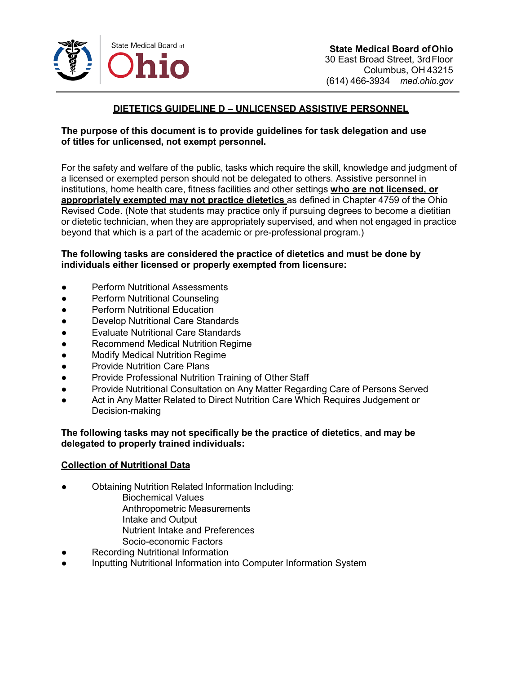

# **DIETETICS GUIDELINE D – UNLICENSED ASSISTIVE PERSONNEL**

### **The purpose of this document is to provide guidelines for task delegation and use of titles for unlicensed, not exempt personnel.**

For the safety and welfare of the public, tasks which require the skill, knowledge and judgment of a licensed or exempted person should not be delegated to others. Assistive personnel in institutions, home health care, fitness facilities and other settings **who are not licensed, or appropriately exempted may not practice dietetics** as defined in Chapter 4759 of the Ohio Revised Code. (Note that students may practice only if pursuing degrees to become a dietitian or dietetic technician, when they are appropriately supervised, and when not engaged in practice beyond that which is a part of the academic or pre-professional program.)

## **The following tasks are considered the practice of dietetics and must be done by individuals either licensed or properly exempted from licensure:**

- Perform Nutritional Assessments
- Perform Nutritional Counseling
- Perform Nutritional Education
- Develop Nutritional Care Standards
- Evaluate Nutritional Care Standards
- Recommend Medical Nutrition Regime
- Modify Medical Nutrition Regime
- Provide Nutrition Care Plans
- Provide Professional Nutrition Training of Other Staff
- Provide Nutritional Consultation on Any Matter Regarding Care of Persons Served
- Act in Any Matter Related to Direct Nutrition Care Which Requires Judgement or Decision-making

#### **The following tasks may not specifically be the practice of dietetics**, **and may be delegated to properly trained individuals:**

#### **Collection of Nutritional Data**

- Obtaining Nutrition Related Information Including:
	- Biochemical Values
	- Anthropometric Measurements
	- Intake and Output
	- Nutrient Intake and Preferences
	- Socio-economic Factors
- **Recording Nutritional Information**
- Inputting Nutritional Information into Computer Information System